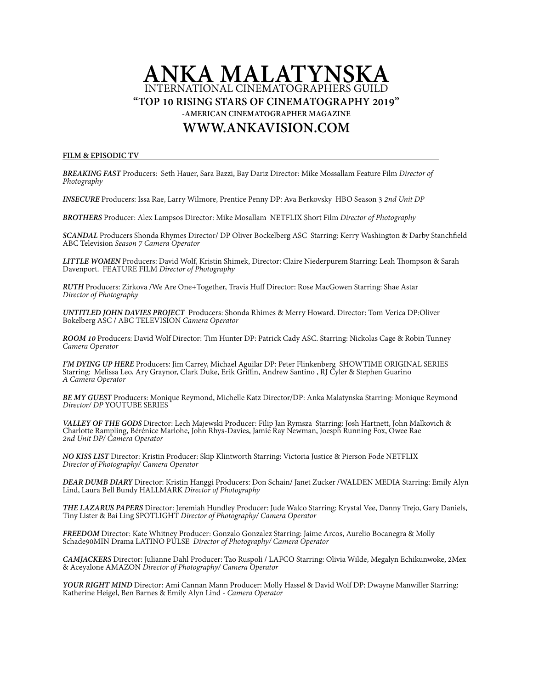# **ANKA MALATYNSKA**  INTERNATIONAL CINEMATOGRAPHERS GUILD **"TOP 10 RISING STARS OF CINEMATOGRAPHY 2019" -AMERICAN CINEMATOGRAPHER MAGAZINE [WWW.ANKAVISION.COM](http://WWW.ANKAVISION.COM)**

#### **FILM & EPISODIC TV**

*BREAKING FAST* Producers: Seth Hauer, Sara Bazzi, Bay Dariz Director: Mike Mossallam Feature Film *Director of Photography*

*INSECURE* Producers: Issa Rae, Larry Wilmore, Prentice Penny DP: Ava Berkovsky HBO Season 3 *2nd Unit DP* 

*BROTHERS* Producer: Alex Lampsos Director: Mike Mosallam NETFLIX Short Film *Director of Photography* 

*SCANDAL* Producers Shonda Rhymes Director/ DP Oliver Bockelberg ASC Starring: Kerry Washington & Darby Stanchfeld ABC Television *Season 7 Camera Operator*

LITTLE WOMEN Producers: David Wolf, Kristin Shimek, Director: Claire Niederpurem Starring: Leah Thompson & Sarah Davenport. FEATURE FILM *Director of Photography* 

*RUTH* Producers: Zirkova /We Are One+Together, Travis Huf Director: Rose MacGowen Starring: Shae Astar *Director of Photography*

*UNTITLED JOHN DAVIES PROJECT* Producers: Shonda Rhimes & Merry Howard. Director: Tom Verica DP:Oliver Bokelberg ASC / ABC TELEVISION *Camera Operator*

*ROOM 10* Producers: David Wolf Director: Tim Hunter DP: Patrick Cady ASC. Starring: Nickolas Cage & Robin Tunney *Camera Operator*

I'M DYING UP HERE Producers: Jim Carrey, Michael Aguilar DP: Peter Flinkenberg SHOWTIME ORIGINAL SERIES<br>Starring: Melissa Leo, Ary Graynor, Clark Duke, Erik Griffin, Andrew Santino, RJ Cyler & Stephen Guarino *A Camera Operator*

*BE MY GUEST* Producers: Monique Reymond, Michelle Katz Director/DP: Anka Malatynska Starring: Monique Reymond *Director/ DP* YOUTUBE SERIES

*VALLEY OF THE GODS* Director: Lech Majewski Producer: Filip Jan Rymsza Starring: Josh Hartnett, John Malkovich & Charlotte Rampling, Bérénice Marlohe, John Rhys-Davies, Jamie Ray Newman, Joesph Running Fox, Owee Rae *2nd Unit DP/ Camera Operator*

*NO KISS LIST* Director: Kristin Producer: Skip Klintworth Starring: Victoria Justice & Pierson Fode NETFLIX *Director of Photography/ Camera Operator*

*DEAR DUMB DIARY* Director: Kristin Hanggi Producers: Don Schain/ Janet Zucker /WALDEN MEDIA Starring: Emily Alyn Lind, Laura Bell Bundy HALLMARK *Director of Photography* 

*THE LAZARUS PAPERS* Director: Jeremiah Hundley Producer: Jude Walco Starring: Krystal Vee, Danny Trejo, Gary Daniels, Tiny Lister & Bai Ling SPOTLIGHT *Director of Photography/ Camera Operator*

*FREEDOM* Director: Kate Whitney Producer: Gonzalo Gonzalez Starring: Jaime Arcos, Aurelio Bocanegra & Molly Schade90MIN Drama LATINO PULSE *Director of Photography/ Camera Operator*

*CAMJACKERS* Director: Julianne Dahl Producer: Tao Ruspoli / LAFCO Starring: Olivia Wilde, Megalyn Echikunwoke, 2Mex & Aceyalone AMAZON *Director of Photography/ Camera Operator*

*YOUR RIGHT MIND* Director: Ami Cannan Mann Producer: Molly Hassel & David Wolf DP: Dwayne Manwiller Starring:<br>Katherine Heigel, Ben Barnes & Emily Alyn Lind - *Camera Operator*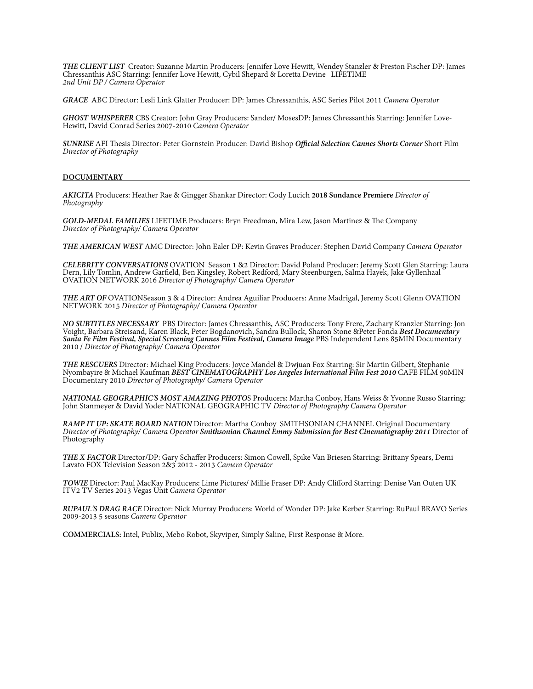*THE CLIENT LIST* Creator: Suzanne Martin Producers: Jennifer Love Hewitt, Wendey Stanzler & Preston Fischer DP: James Chressanthis ASC Starring: Jennifer Love Hewitt, Cybil Shepard & Loretta Devine LIFETIME *2nd Unit DP / Camera Operator*

*GRACE* ABC Director: Lesli Link Glatter Producer: DP: James Chressanthis, ASC Series Pilot 2011 *Camera Operator* 

*GHOST WHISPERER* CBS Creator: John Gray Producers: Sander/ MosesDP: James Chressanthis Starring: Jennifer Love- Hewitt, David Conrad Series 2007-2010 *Camera Operator*

*SUNRISE* AFI Tesis Director: Peter Gornstein Producer: David Bishop *Ofcial Selection Cannes Shorts Corner* Short Film *Director of Photography*

#### **DOCUMENTARY**

*AKICITA* Producers: Heather Rae & Gingger Shankar Director: Cody Lucich **2018 Sundance Premiere** *Director of Photography*

*GOLD-MEDAL FAMILIES LIFETIME Producers: Bryn Freedman, Mira Lew, Jason Martinez & The Company Director of Photography/ Camera Operator* 

*THE AMERICAN WEST* AMC Director: John Ealer DP: Kevin Graves Producer: Stephen David Company *Camera Operator*

CELEBRITY CONVERSATIONS OVATION Season 1 &2 Director: David Poland Producer: Jeremy Scott Glen Starring: Laura<br>Dern, Lily Tomlin, Andrew Garfield, Ben Kingsley, Robert Redford, Mary Steenburgen, Salma Hayek, Jake Gyllenhaa OVATION NETWORK 2016 *Director of Photography/ Camera Operator*

*THE ART OF* OVATIONSeason 3 & 4 Director: Andrea Aguiliar Producers: Anne Madrigal, Jeremy Scott Glenn OVATION NETWORK 2015 *Director of Photography/ Camera Operator*

NO SUBTITLES NECESSARY PBS Director: James Chressanthis, ASC Producers: Tony Frere, Zachary Kranzler Starring: Jon<br>Voight, Barbara Streisand, Karen Black, Peter Bogdanovich, Sandra Bullock, Sharon Stone &Peter Fonda Best D *Santa Fe Film Festival, Special Screening Cannes Film Festival, Camera Image* PBS Independent Lens 85MIN Documentary 2010 / *Director of Photography/ Camera Operator*

THE RESCUERS Director: Michael King Producers: Joyce Mandel & Dwjuan Fox Starring: Sir Martin Gilbert, Stephanie<br>Nyombayire & Michael Kaufman BEST CINEMATOGRAPHY Los Angeles International Film Fest 2010 CAFE FILM 90MIN Documentary 2010 *Director of Photography/ Camera Operator*

*NATIONAL GEOGRAPHIC'S MOST AMAZING PHOTO*S Producers: Martha Conboy, Hans Weiss & Yvonne Russo Starring: John Stanmeyer & David Yoder NATIONAL GEOGRAPHIC TV *Director of Photography Camera Operator*

RAMP IT UP: SKATE BOARD NATION Director: Martha Conboy SMITHSONIAN CHANNEL Original Documentary<br>Director of Photography/ Camera Operator Smithsonian Channel Emmy Submission for Best Cinematography 2011 Director of Photography

*THE X FACTOR* Director/DP: Gary Schafer Producers: Simon Cowell, Spike Van Briesen Starring: Brittany Spears, Demi Lavato FOX Television Season 2&3 2012 - 2013 *Camera Operator* 

*TOWIE* Director: Paul MacKay Producers: Lime Pictures/ Millie Fraser DP: Andy Cliford Starring: Denise Van Outen UK ITV2 TV Series 2013 Vegas Unit *Camera Operator* 

*RUPAUL'S DRAG RACE* Director: Nick Murray Producers: World of Wonder DP: Jake Kerber Starring: RuPaul BRAVO Series 2009-2013 5 seasons *Camera Operator* 

**COMMERCIALS:** Intel, Publix, Mebo Robot, Skyviper, Simply Saline, First Response & More.